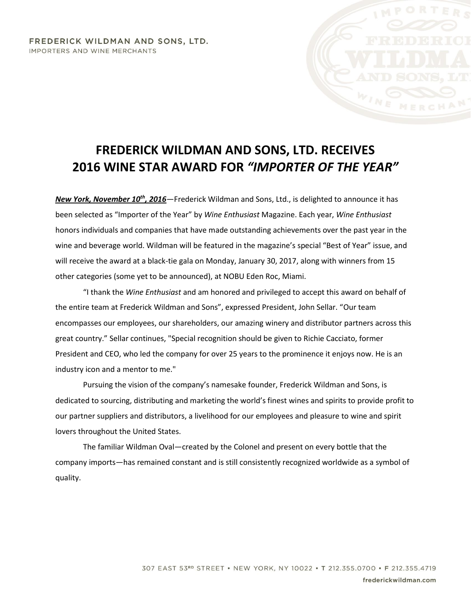## FREDERICK WILDMAN AND SONS, LTD. IMPORTERS AND WINE MERCHANTS

## **FREDERICK WILDMAN AND SONS, LTD. RECEIVES 2016 WINE STAR AWARD FOR** *"IMPORTER OF THE YEAR"*

*New York, November 10th, 2016*—Frederick Wildman and Sons, Ltd., is delighted to announce it has been selected as "Importer of the Year" by *Wine Enthusiast* Magazine. Each year, *Wine Enthusiast* honors individuals and companies that have made outstanding achievements over the past year in the wine and beverage world. Wildman will be featured in the magazine's special "Best of Year" issue, and will receive the award at a black-tie gala on Monday, January 30, 2017, along with winners from 15 other categories (some yet to be announced), at NOBU Eden Roc, Miami.

"I thank the *Wine Enthusiast* and am honored and privileged to accept this award on behalf of the entire team at Frederick Wildman and Sons", expressed President, John Sellar. "Our team encompasses our employees, our shareholders, our amazing winery and distributor partners across this great country." Sellar continues, "Special recognition should be given to Richie Cacciato, former President and CEO, who led the company for over 25 years to the prominence it enjoys now. He is an industry icon and a mentor to me."

Pursuing the vision of the company's namesake founder, Frederick Wildman and Sons, is dedicated to sourcing, distributing and marketing the world's finest wines and spirits to provide profit to our partner suppliers and distributors, a livelihood for our employees and pleasure to wine and spirit lovers throughout the United States.

The familiar Wildman Oval—created by the Colonel and present on every bottle that the company imports—has remained constant and is still consistently recognized worldwide as a symbol of quality.